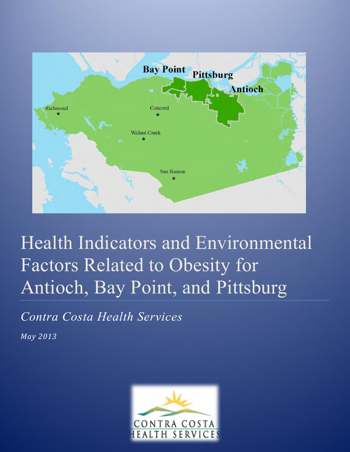

# Health Indicators and Environmental Factors Related to Obesity for Antioch, Bay Point, and Pittsburg

*Contra Costa Health Services* 

*May 2013*

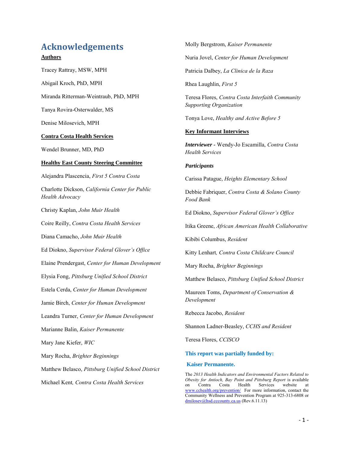# **Acknowledgements**

### **Authors**

Tracey Rattray, MSW, MPH

Abigail Kroch, PhD, MPH

Miranda Ritterman-Weintraub, PhD, MPH

Tanya Rovira-Osterwalder, MS

Denise Milosevich, MPH

#### **Contra Costa Health Services**

Wendel Brunner, MD, PhD

#### **Healthy East County Steering Committee**

Alejandra Plascencia, *First 5 Contra Costa* Charlotte Dickson, *California Center for Public Health Advocacy*  Christy Kaplan, *John Muir Health*  Coire Reilly, *Contra Costa Health Services*  Diana Camacho, *John Muir Health*  Ed Diokno, *Supervisor Federal Glover's Office* Elaine Prendergast, *Center for Human Development* Elysia Fong, *Pittsburg Unified School District* Estela Cerda, *Center for Human Development*  Jamie Birch, *Center for Human Development* Leandra Turner, *Center for Human Development* Marianne Balin, *Kaiser Permanente* Mary Jane Kiefer, *WIC* Mary Rocha, *Brighter Beginnings* Matthew Belasco, *Pittsburg Unified School District*  Michael Kent*, Contra Costa Health Services*

Molly Bergstrom, *Kaiser Permanente* 

Nuria Jovel, *Center for Human Development* 

Patricia Dalbey, *La Clinica de la Raza*

Rhea Laughlin, *First 5*

Teresa Flores, *Contra Costa Interfaith Community Supporting Organization*

Tonya Love, *Healthy and Active Before 5*

### **Key Informant Interviews**

*Interviewer -* Wendy-Jo Escamilla, *Contra Costa Health Services*

#### *Participants*

Carissa Patague, *Heights Elementary School*

Debbie Fabriquer, *Contra Costa & Solano County Food Bank*

Ed Diokno, *Supervisor Federal Glover's Office*

Itika Greene, *African American Health Collaborative*

Kibibi Columbus, *Resident* 

Kitty Lenhart*, Contra Costa Childcare Council*

Mary Rocha, *Brighter Beginnings*

Matthew Belasco, *Pittsburg Unified School District*

Maureen Toms, *Department of Conservation & Development*

Rebecca Jacobo, *Resident*

Shannon Ladner-Beasley, *CCHS and Resident*

Teresa Flores, *CCISCO*

**This report was partially funded by:** 

#### **Kaiser Permanente.**

The *2013 Health Indicators and Environmental Factors Related to Obesity for Antioch, Bay Point and Pittsburg Report* is available on Contra Costa Health Services website at [www.cchealth.org/prevention/](http://www.cchealth.org/prevention/) For more information, contact the Community Wellness and Prevention Program at 925-313-6808 or [dmilosev@hsd.cccounty.ca.us](mailto:dmilosev@hsd.cccounty.ca.us) (Rev.6.11.13)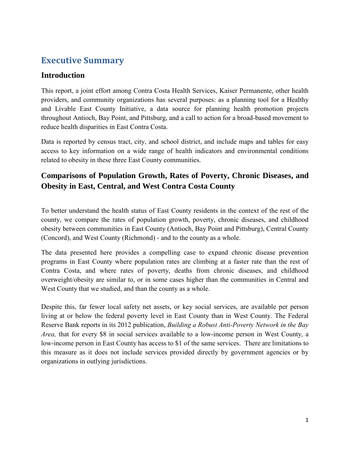# **Executive Summary**

# **Introduction**

This report, a joint effort among Contra Costa Health Services, Kaiser Permanente, other health providers, and community organizations has several purposes: as a planning tool for a Healthy and Livable East County Initiative, a data source for planning health promotion projects throughout Antioch, Bay Point, and Pittsburg, and a call to action for a broad-based movement to reduce health disparities in East Contra Costa.

Data is reported by census tract, city, and school district, and include maps and tables for easy access to key information on a wide range of health indicators and environmental conditions related to obesity in these three East County communities.

# **Comparisons of Population Growth, Rates of Poverty, Chronic Diseases, and Obesity in East, Central, and West Contra Costa County**

To better understand the health status of East County residents in the context of the rest of the county, we compare the rates of population growth, poverty, chronic diseases, and childhood obesity between communities in East County (Antioch, Bay Point and Pittsburg), Central County (Concord), and West County (Richmond) - and to the county as a whole.

The data presented here provides a compelling case to expand chronic disease prevention programs in East County where population rates are climbing at a faster rate than the rest of Contra Costa, and where rates of poverty, deaths from chronic diseases, and childhood overweight/obesity are similar to, or in some cases higher than the communities in Central and West County that we studied, and than the county as a whole.

Despite this, far fewer local safety net assets, or key social services, are available per person living at or below the federal poverty level in East County than in West County. The Federal Reserve Bank reports in its 2012 publication, *Building a Robust Anti-Poverty Network in the Bay Area,* that for every \$8 in social services available to a low-income person in West County, a low-income person in East County has access to \$1 of the same services. There are limitations to this measure as it does not include services provided directly by government agencies or by organizations in outlying jurisdictions.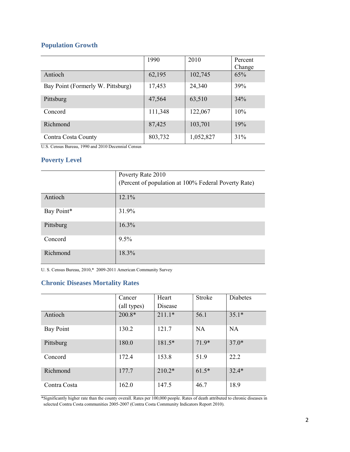# **Population Growth**

|                                   | 1990    | 2010      | Percent |
|-----------------------------------|---------|-----------|---------|
|                                   |         |           | Change  |
| Antioch                           | 62,195  | 102,745   | 65%     |
| Bay Point (Formerly W. Pittsburg) | 17,453  | 24,340    | 39%     |
| Pittsburg                         | 47,564  | 63,510    | 34%     |
| Concord                           | 111,348 | 122,067   | 10%     |
| Richmond                          | 87,425  | 103,701   | 19%     |
| Contra Costa County               | 803,732 | 1,052,827 | 31%     |

U.S. Census Bureau, 1990 and 2010 Decennial Census

### **Poverty Level**

|            | Poverty Rate 2010<br>(Percent of population at 100% Federal Poverty Rate) |
|------------|---------------------------------------------------------------------------|
| Antioch    | 12.1%                                                                     |
| Bay Point* | 31.9%                                                                     |
| Pittsburg  | 16.3%                                                                     |
| Concord    | 9.5%                                                                      |
| Richmond   | 18.3%                                                                     |

U. S. Census Bureau, 2010,\* 2009-2011 American Community Survey

# **Chronic Diseases Mortality Rates**

|              | Cancer      | Heart    | Stroke    | <b>Diabetes</b> |
|--------------|-------------|----------|-----------|-----------------|
|              | (all types) | Disease  |           |                 |
| Antioch      | $200.8*$    | $211.1*$ | 56.1      | $35.1*$         |
| Bay Point    | 130.2       | 121.7    | <b>NA</b> | NA              |
| Pittsburg    | 180.0       | $181.5*$ | $71.9*$   | $37.0*$         |
| Concord      | 172.4       | 153.8    | 51.9      | 22.2            |
| Richmond     | 177.7       | $210.2*$ | $61.5*$   | $32.4*$         |
| Contra Costa | 162.0       | 147.5    | 46.7      | 18.9            |

\*Significantly higher rate than the county overall. Rates per 100,000 people. Rates of death attributed to chronic diseases in selected Contra Costa communities 2005-2007 (Contra Costa Community Indicators Report 2010).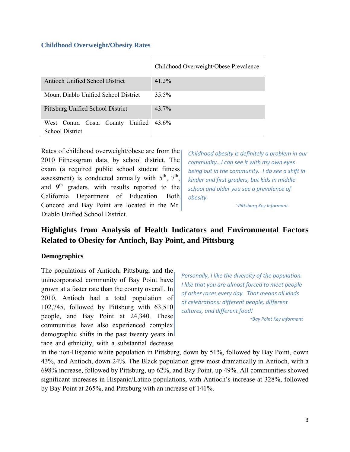### **Childhood Overweight/Obesity Rates**

|                                                               | Childhood Overweight/Obese Prevalence |  |
|---------------------------------------------------------------|---------------------------------------|--|
| Antioch Unified School District                               | 41.2%                                 |  |
| Mount Diablo Unified School District                          | 35.5%                                 |  |
| Pittsburg Unified School District                             | 43.7%                                 |  |
| West Contra Costa County<br>Unified<br><b>School District</b> | 43.6%                                 |  |

Rates of childhood overweight/obese are from the 2010 Fitnessgram data, by school district. The exam (a required public school student fitness assessment) is conducted annually with  $5^{th}$ ,  $7^{th}$ , and  $9<sup>th</sup>$  graders, with results reported to the California Department of Education. Both Concord and Bay Point are located in the Mt. Diablo Unified School District.

*Childhood obesity is definitely a problem in our community…I can see it with my own eyes being out in the community. I do see a shift in kinder and first graders, but kids in middle school and older you see a prevalence of obesity.*

 *~Pittsburg Key Informant*

# **Highlights from Analysis of Health Indicators and Environmental Factors Related to Obesity for Antioch, Bay Point, and Pittsburg**

# **Demographics**

The populations of Antioch, Pittsburg, and the unincorporated community of Bay Point have grown at a faster rate than the county overall. In 2010, Antioch had a total population of 102,745, followed by Pittsburg with 63,510 people, and Bay Point at 24,340. These communities have also experienced complex demographic shifts in the past twenty years in race and ethnicity, with a substantial decrease

*Personally, I like the diversity of the population. I like that you are almost forced to meet people of other races every day. That means all kinds of celebrations: different people, different cultures, and different food!*

*~Bay Point Key Informant*

in the non-Hispanic white population in Pittsburg, down by 51%, followed by Bay Point, down 43%, and Antioch, down 24%. The Black population grew most dramatically in Antioch, with a 698% increase, followed by Pittsburg, up 62%, and Bay Point, up 49%. All communities showed significant increases in Hispanic/Latino populations, with Antioch's increase at 328%, followed by Bay Point at 265%, and Pittsburg with an increase of 141%.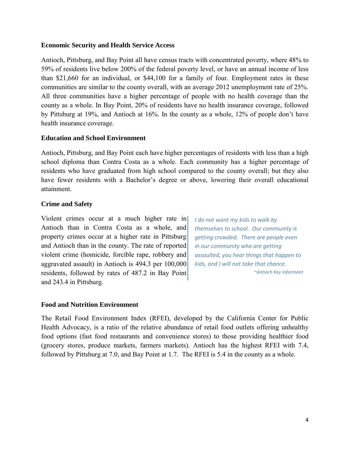# **Economic Security and Health Service Access**

Antioch, Pittsburg, and Bay Point all have census tracts with concentrated poverty, where 48% to 59% of residents live below 200% of the federal poverty level, or have an annual income of less than \$21,660 for an individual, or \$44,100 for a family of four. Employment rates in these communities are similar to the county overall, with an average 2012 unemployment rate of 25%. All three communities have a higher percentage of people with no health coverage than the county as a whole. In Bay Point, 20% of residents have no health insurance coverage, followed by Pittsburg at 19%, and Antioch at 16%. In the county as a whole, 12% of people don't have health insurance coverage.

# **Education and School Environment**

Antioch, Pittsburg, and Bay Point each have higher percentages of residents with less than a high school diploma than Contra Costa as a whole. Each community has a higher percentage of residents who have graduated from high school compared to the county overall; but they also have fewer residents with a Bachelor's degree or above, lowering their overall educational attainment.

# **Crime and Safety**

Violent crimes occur at a much higher rate in Antioch than in Contra Costa as a whole, and property crimes occur at a higher rate in Pittsburg and Antioch than in the county. The rate of reported violent crime (homicide, forcible rape, robbery and aggravated assault) in Antioch is 494.3 per 100,000 residents, followed by rates of 487.2 in Bay Point and 243.4 in Pittsburg.

*I do not want my kids to walk by themselves to school. Our community is getting crowded. There are people even in our community who are getting assaulted, you hear things that happen to kids, and I will not take that chance. ~Antioch Key Informant*

# **Food and Nutrition Environment**

The Retail Food Environment Index (RFEI), developed by the California Center for Public Health Advocacy, is a ratio of the relative abundance of retail food outlets offering unhealthy food options (fast food restaurants and convenience stores) to those providing healthier food (grocery stores, produce markets, farmers markets). Antioch has the highest RFEI with 7.4, followed by Pittsburg at 7.0, and Bay Point at 1.7. The RFEI is 5.4 in the county as a whole.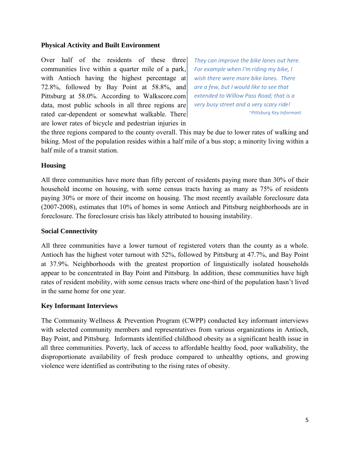### **Physical Activity and Built Environment**

Over half of the residents of these three communities live within a quarter mile of a park, with Antioch having the highest percentage at 72.8%, followed by Bay Point at 58.8%, and Pittsburg at 58.0%. According to Walkscore.com data, most public schools in all three regions are rated car-dependent or somewhat walkable. There are lower rates of bicycle and pedestrian injuries in

*They can improve the bike lanes out here. For example when I'm riding my bike, I wish there were more bike lanes. There are a few, but I would like to see that extended to Willow Pass Road; that is a very busy street and a very scary ride! ~Pittsburg Key Informant*

the three regions compared to the county overall. This may be due to lower rates of walking and biking. Most of the population resides within a half mile of a bus stop; a minority living within a half mile of a transit station.

# **Housing**

All three communities have more than fifty percent of residents paying more than 30% of their household income on housing, with some census tracts having as many as 75% of residents paying 30% or more of their income on housing. The most recently available foreclosure data (2007-2008), estimates that 10% of homes in some Antioch and Pittsburg neighborhoods are in foreclosure. The foreclosure crisis has likely attributed to housing instability.

### **Social Connectivity**

All three communities have a lower turnout of registered voters than the county as a whole. Antioch has the highest voter turnout with 52%, followed by Pittsburg at 47.7%, and Bay Point at 37.9%. Neighborhoods with the greatest proportion of linguistically isolated households appear to be concentrated in Bay Point and Pittsburg. In addition, these communities have high rates of resident mobility, with some census tracts where one-third of the population hasn't lived in the same home for one year.

# **Key Informant Interviews**

The Community Wellness & Prevention Program (CWPP) conducted key informant interviews with selected community members and representatives from various organizations in Antioch, Bay Point, and Pittsburg. Informants identified childhood obesity as a significant health issue in all three communities. Poverty, lack of access to affordable healthy food, poor walkability, the disproportionate availability of fresh produce compared to unhealthy options, and growing violence were identified as contributing to the rising rates of obesity.